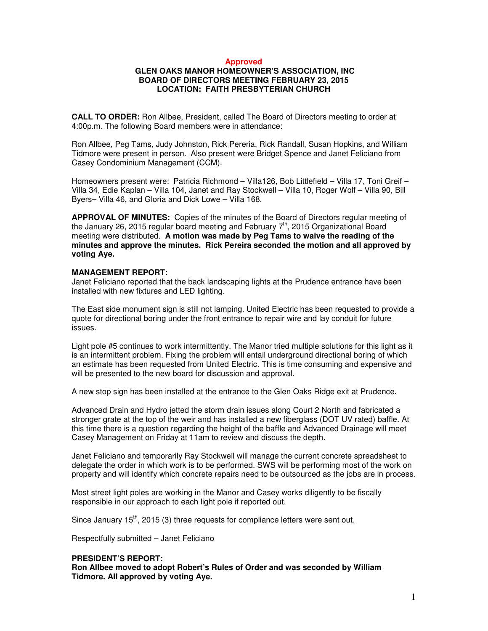#### **Approved**

## **GLEN OAKS MANOR HOMEOWNER'S ASSOCIATION, INC BOARD OF DIRECTORS MEETING FEBRUARY 23, 2015 LOCATION: FAITH PRESBYTERIAN CHURCH**

**CALL TO ORDER:** Ron Allbee, President, called The Board of Directors meeting to order at 4:00p.m. The following Board members were in attendance:

Ron Allbee, Peg Tams, Judy Johnston, Rick Pereria, Rick Randall, Susan Hopkins, and William Tidmore were present in person. Also present were Bridget Spence and Janet Feliciano from Casey Condominium Management (CCM).

Homeowners present were: Patricia Richmond – Villa126, Bob Littlefield – Villa 17, Toni Greif – Villa 34, Edie Kaplan – Villa 104, Janet and Ray Stockwell – Villa 10, Roger Wolf – Villa 90, Bill Byers– Villa 46, and Gloria and Dick Lowe – Villa 168.

**APPROVAL OF MINUTES:** Copies of the minutes of the Board of Directors regular meeting of the January 26, 2015 regular board meeting and February  $7<sup>th</sup>$ , 2015 Organizational Board meeting were distributed. **A motion was made by Peg Tams to waive the reading of the minutes and approve the minutes. Rick Pereira seconded the motion and all approved by voting Aye.**

#### **MANAGEMENT REPORT:**

Janet Feliciano reported that the back landscaping lights at the Prudence entrance have been installed with new fixtures and LED lighting.

The East side monument sign is still not lamping. United Electric has been requested to provide a quote for directional boring under the front entrance to repair wire and lay conduit for future issues.

Light pole #5 continues to work intermittently. The Manor tried multiple solutions for this light as it is an intermittent problem. Fixing the problem will entail underground directional boring of which an estimate has been requested from United Electric. This is time consuming and expensive and will be presented to the new board for discussion and approval.

A new stop sign has been installed at the entrance to the Glen Oaks Ridge exit at Prudence.

Advanced Drain and Hydro jetted the storm drain issues along Court 2 North and fabricated a stronger grate at the top of the weir and has installed a new fiberglass (DOT UV rated) baffle. At this time there is a question regarding the height of the baffle and Advanced Drainage will meet Casey Management on Friday at 11am to review and discuss the depth.

Janet Feliciano and temporarily Ray Stockwell will manage the current concrete spreadsheet to delegate the order in which work is to be performed. SWS will be performing most of the work on property and will identify which concrete repairs need to be outsourced as the jobs are in process.

Most street light poles are working in the Manor and Casey works diligently to be fiscally responsible in our approach to each light pole if reported out.

Since January  $15<sup>th</sup>$ , 2015 (3) three requests for compliance letters were sent out.

Respectfully submitted – Janet Feliciano

#### **PRESIDENT'S REPORT:**

**Ron Allbee moved to adopt Robert's Rules of Order and was seconded by William Tidmore. All approved by voting Aye.**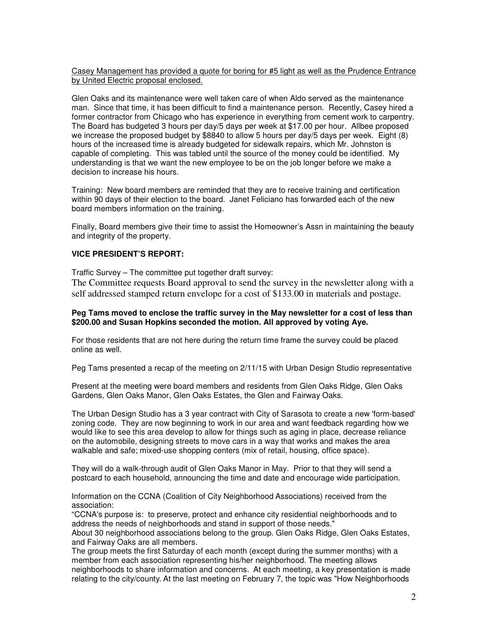Casey Management has provided a quote for boring for #5 light as well as the Prudence Entrance by United Electric proposal enclosed.

Glen Oaks and its maintenance were well taken care of when Aldo served as the maintenance man. Since that time, it has been difficult to find a maintenance person. Recently, Casey hired a former contractor from Chicago who has experience in everything from cement work to carpentry. The Board has budgeted 3 hours per day/5 days per week at \$17.00 per hour. Allbee proposed we increase the proposed budget by \$8840 to allow 5 hours per day/5 days per week. Eight (8) hours of the increased time is already budgeted for sidewalk repairs, which Mr. Johnston is capable of completing. This was tabled until the source of the money could be identified. My understanding is that we want the new employee to be on the job longer before we make a decision to increase his hours.

Training: New board members are reminded that they are to receive training and certification within 90 days of their election to the board. Janet Feliciano has forwarded each of the new board members information on the training.

Finally, Board members give their time to assist the Homeowner's Assn in maintaining the beauty and integrity of the property.

### **VICE PRESIDENT'S REPORT:**

Traffic Survey – The committee put together draft survey:

The Committee requests Board approval to send the survey in the newsletter along with a self addressed stamped return envelope for a cost of \$133.00 in materials and postage.

#### **Peg Tams moved to enclose the traffic survey in the May newsletter for a cost of less than \$200.00 and Susan Hopkins seconded the motion. All approved by voting Aye.**

For those residents that are not here during the return time frame the survey could be placed online as well.

Peg Tams presented a recap of the meeting on 2/11/15 with Urban Design Studio representative

Present at the meeting were board members and residents from Glen Oaks Ridge, Glen Oaks Gardens, Glen Oaks Manor, Glen Oaks Estates, the Glen and Fairway Oaks.

The Urban Design Studio has a 3 year contract with City of Sarasota to create a new 'form-based' zoning code. They are now beginning to work in our area and want feedback regarding how we would like to see this area develop to allow for things such as aging in place, decrease reliance on the automobile, designing streets to move cars in a way that works and makes the area walkable and safe; mixed-use shopping centers (mix of retail, housing, office space).

They will do a walk-through audit of Glen Oaks Manor in May. Prior to that they will send a postcard to each household, announcing the time and date and encourage wide participation.

Information on the CCNA (Coalition of City Neighborhood Associations) received from the association:

"CCNA's purpose is: to preserve, protect and enhance city residential neighborhoods and to address the needs of neighborhoods and stand in support of those needs." About 30 neighborhood associations belong to the group. Glen Oaks Ridge, Glen Oaks Estates, and Fairway Oaks are all members.

The group meets the first Saturday of each month (except during the summer months) with a member from each association representing his/her neighborhood. The meeting allows neighborhoods to share information and concerns. At each meeting, a key presentation is made relating to the city/county. At the last meeting on February 7, the topic was "How Neighborhoods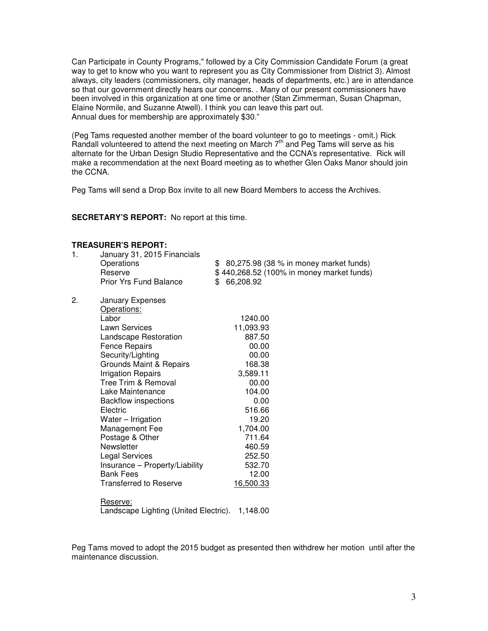Can Participate in County Programs," followed by a City Commission Candidate Forum (a great way to get to know who you want to represent you as City Commissioner from District 3). Almost always, city leaders (commissioners, city manager, heads of departments, etc.) are in attendance so that our government directly hears our concerns. . Many of our present commissioners have been involved in this organization at one time or another (Stan Zimmerman, Susan Chapman, Elaine Normile, and Suzanne Atwell). I think you can leave this part out. Annual dues for membership are approximately \$30."

(Peg Tams requested another member of the board volunteer to go to meetings - omit.) Rick Randall volunteered to attend the next meeting on March  $7<sup>th</sup>$  and Peg Tams will serve as his alternate for the Urban Design Studio Representative and the CCNA's representative. Rick will make a recommendation at the next Board meeting as to whether Glen Oaks Manor should join the CCNA.

Peg Tams will send a Drop Box invite to all new Board Members to access the Archives.

**SECRETARY'S REPORT:** No report at this time.

#### **TREASURER'S REPORT:**

| 1. | January 31, 2015 Financials<br>Operations<br>Reserve<br><b>Prior Yrs Fund Balance</b>                                                                                                                                                                                                                                                                                                                                                                                                | \$ 80,275.98 (38 % in money market funds)<br>\$440,268.52 (100% in money market funds)<br>\$<br>66,208.92                                                                                      |
|----|--------------------------------------------------------------------------------------------------------------------------------------------------------------------------------------------------------------------------------------------------------------------------------------------------------------------------------------------------------------------------------------------------------------------------------------------------------------------------------------|------------------------------------------------------------------------------------------------------------------------------------------------------------------------------------------------|
| 2. | <b>January Expenses</b><br>Operations:<br>Labor<br>Lawn Services<br><b>Landscape Restoration</b><br><b>Fence Repairs</b><br>Security/Lighting<br>Grounds Maint & Repairs<br><b>Irrigation Repairs</b><br>Tree Trim & Removal<br>Lake Maintenance<br><b>Backflow inspections</b><br>Electric<br>Water - Irrigation<br>Management Fee<br>Postage & Other<br>Newsletter<br><b>Legal Services</b><br>Insurance - Property/Liability<br><b>Bank Fees</b><br><b>Transferred to Reserve</b> | 1240.00<br>11,093.93<br>887.50<br>00.00<br>00.00<br>168.38<br>3,589.11<br>00.00<br>104.00<br>0.00<br>516.66<br>19.20<br>1,704.00<br>711.64<br>460.59<br>252.50<br>532.70<br>12.00<br>16,500.33 |
|    | Reserve:<br>Landscape Lighting (United Electric).<br>1,148.00                                                                                                                                                                                                                                                                                                                                                                                                                        |                                                                                                                                                                                                |

Peg Tams moved to adopt the 2015 budget as presented then withdrew her motion until after the maintenance discussion.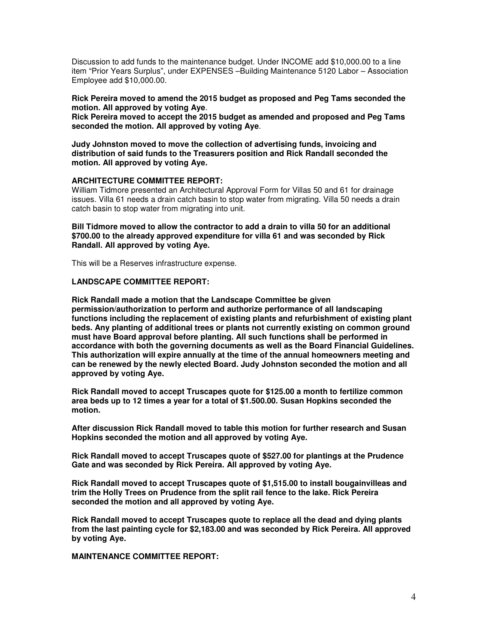Discussion to add funds to the maintenance budget. Under INCOME add \$10,000.00 to a line item "Prior Years Surplus", under EXPENSES –Building Maintenance 5120 Labor – Association Employee add \$10,000.00.

**Rick Pereira moved to amend the 2015 budget as proposed and Peg Tams seconded the motion. All approved by voting Aye**.

**Rick Pereira moved to accept the 2015 budget as amended and proposed and Peg Tams seconded the motion. All approved by voting Aye**.

**Judy Johnston moved to move the collection of advertising funds, invoicing and distribution of said funds to the Treasurers position and Rick Randall seconded the motion. All approved by voting Aye.** 

### **ARCHITECTURE COMMITTEE REPORT:**

William Tidmore presented an Architectural Approval Form for Villas 50 and 61 for drainage issues. Villa 61 needs a drain catch basin to stop water from migrating. Villa 50 needs a drain catch basin to stop water from migrating into unit.

**Bill Tidmore moved to allow the contractor to add a drain to villa 50 for an additional \$700.00 to the already approved expenditure for villa 61 and was seconded by Rick Randall. All approved by voting Aye.** 

This will be a Reserves infrastructure expense.

#### **LANDSCAPE COMMITTEE REPORT:**

**Rick Randall made a motion that the Landscape Committee be given permission/authorization to perform and authorize performance of all landscaping functions including the replacement of existing plants and refurbishment of existing plant beds. Any planting of additional trees or plants not currently existing on common ground must have Board approval before planting. All such functions shall be performed in accordance with both the governing documents as well as the Board Financial Guidelines. This authorization will expire annually at the time of the annual homeowners meeting and can be renewed by the newly elected Board. Judy Johnston seconded the motion and all approved by voting Aye.** 

**Rick Randall moved to accept Truscapes quote for \$125.00 a month to fertilize common area beds up to 12 times a year for a total of \$1.500.00. Susan Hopkins seconded the motion.** 

**After discussion Rick Randall moved to table this motion for further research and Susan Hopkins seconded the motion and all approved by voting Aye.** 

**Rick Randall moved to accept Truscapes quote of \$527.00 for plantings at the Prudence Gate and was seconded by Rick Pereira. All approved by voting Aye.** 

**Rick Randall moved to accept Truscapes quote of \$1,515.00 to install bougainvilleas and trim the Holly Trees on Prudence from the split rail fence to the lake. Rick Pereira seconded the motion and all approved by voting Aye.**

**Rick Randall moved to accept Truscapes quote to replace all the dead and dying plants from the last painting cycle for \$2,183.00 and was seconded by Rick Pereira. All approved by voting Aye.**

**MAINTENANCE COMMITTEE REPORT:**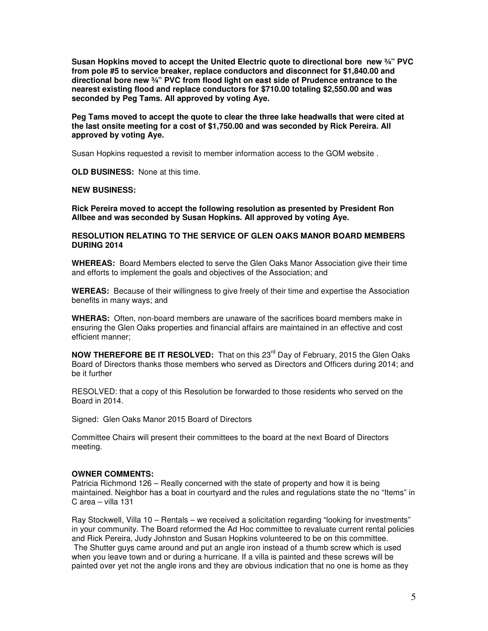**Susan Hopkins moved to accept the United Electric quote to directional bore new ¾" PVC from pole #5 to service breaker, replace conductors and disconnect for \$1,840.00 and directional bore new ¾" PVC from flood light on east side of Prudence entrance to the nearest existing flood and replace conductors for \$710.00 totaling \$2,550.00 and was seconded by Peg Tams. All approved by voting Aye.** 

**Peg Tams moved to accept the quote to clear the three lake headwalls that were cited at the last onsite meeting for a cost of \$1,750.00 and was seconded by Rick Pereira. All approved by voting Aye.**

Susan Hopkins requested a revisit to member information access to the GOM website .

**OLD BUSINESS:** None at this time.

#### **NEW BUSINESS:**

**Rick Pereira moved to accept the following resolution as presented by President Ron Allbee and was seconded by Susan Hopkins. All approved by voting Aye.** 

**RESOLUTION RELATING TO THE SERVICE OF GLEN OAKS MANOR BOARD MEMBERS DURING 2014** 

**WHEREAS:** Board Members elected to serve the Glen Oaks Manor Association give their time and efforts to implement the goals and objectives of the Association; and

**WEREAS:** Because of their willingness to give freely of their time and expertise the Association benefits in many ways; and

**WHERAS:** Often, non-board members are unaware of the sacrifices board members make in ensuring the Glen Oaks properties and financial affairs are maintained in an effective and cost efficient manner;

**NOW THEREFORE BE IT RESOLVED:** That on this 23<sup>rd</sup> Day of February, 2015 the Glen Oaks Board of Directors thanks those members who served as Directors and Officers during 2014; and be it further

RESOLVED: that a copy of this Resolution be forwarded to those residents who served on the Board in 2014.

Signed: Glen Oaks Manor 2015 Board of Directors

Committee Chairs will present their committees to the board at the next Board of Directors meeting.

## **OWNER COMMENTS:**

Patricia Richmond 126 – Really concerned with the state of property and how it is being maintained. Neighbor has a boat in courtyard and the rules and regulations state the no "Items" in C area – villa 131

Ray Stockwell, Villa 10 – Rentals – we received a solicitation regarding "looking for investments" in your community. The Board reformed the Ad Hoc committee to revaluate current rental policies and Rick Pereira, Judy Johnston and Susan Hopkins volunteered to be on this committee.

 The Shutter guys came around and put an angle iron instead of a thumb screw which is used when you leave town and or during a hurricane. If a villa is painted and these screws will be painted over yet not the angle irons and they are obvious indication that no one is home as they